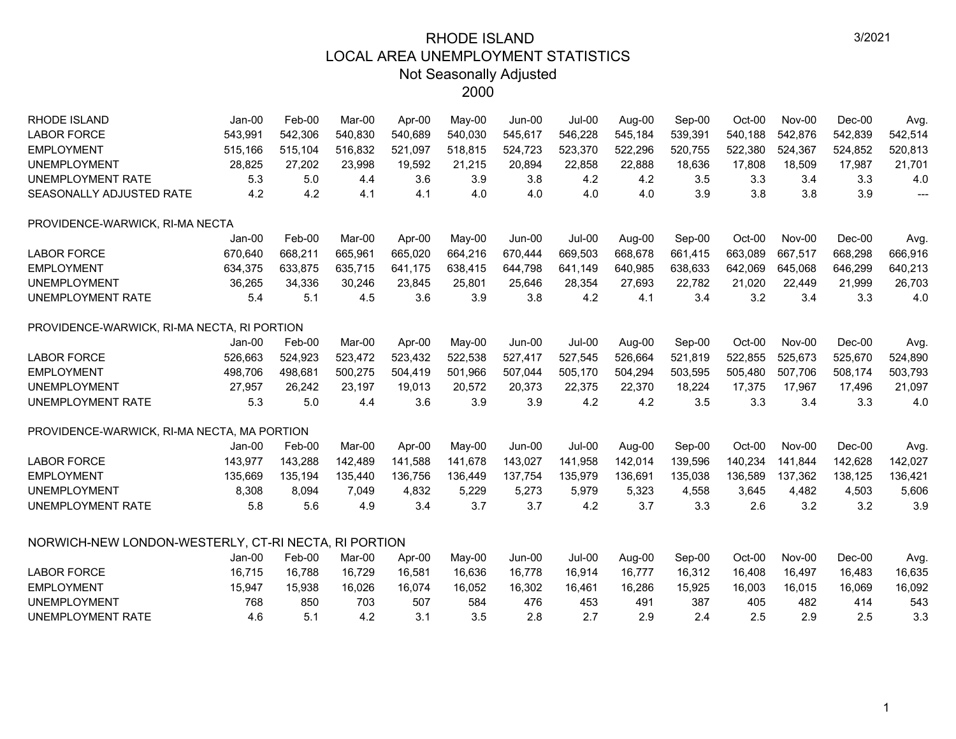| <b>RHODE ISLAND</b>                                  | Jan-00   | Feb-00  | Mar-00  | Apr-00  | May-00  | Jun-00        | Jul-00   | Aug-00  | Sep-00  | Oct-00  | Nov-00  | Dec-00   | Avg.    |
|------------------------------------------------------|----------|---------|---------|---------|---------|---------------|----------|---------|---------|---------|---------|----------|---------|
| <b>LABOR FORCE</b>                                   | 543,991  | 542,306 | 540,830 | 540,689 | 540,030 | 545,617       | 546,228  | 545,184 | 539,391 | 540,188 | 542,876 | 542,839  | 542,514 |
| <b>EMPLOYMENT</b>                                    | 515,166  | 515,104 | 516,832 | 521,097 | 518,815 | 524,723       | 523,370  | 522,296 | 520,755 | 522,380 | 524,367 | 524,852  | 520,813 |
| <b>UNEMPLOYMENT</b>                                  | 28,825   | 27,202  | 23,998  | 19,592  | 21,215  | 20,894        | 22,858   | 22,888  | 18,636  | 17,808  | 18,509  | 17,987   | 21,701  |
| UNEMPLOYMENT RATE                                    | 5.3      | 5.0     | 4.4     | 3.6     | 3.9     | 3.8           | 4.2      | 4.2     | 3.5     | 3.3     | 3.4     | 3.3      | 4.0     |
| SEASONALLY ADJUSTED RATE                             | 4.2      | 4.2     | 4.1     | 4.1     | 4.0     | 4.0           | 4.0      | 4.0     | 3.9     | 3.8     | 3.8     | 3.9      | $---$   |
| PROVIDENCE-WARWICK, RI-MA NECTA                      |          |         |         |         |         |               |          |         |         |         |         |          |         |
|                                                      | Jan-00   | Feb-00  | Mar-00  | Apr-00  | May-00  | Jun-00        | $Jul-00$ | Aug-00  | Sep-00  | Oct-00  | Nov-00  | $Dec-00$ | Avg.    |
| <b>LABOR FORCE</b>                                   | 670,640  | 668,211 | 665,961 | 665,020 | 664,216 | 670,444       | 669,503  | 668,678 | 661,415 | 663,089 | 667,517 | 668,298  | 666,916 |
| <b>EMPLOYMENT</b>                                    | 634,375  | 633,875 | 635,715 | 641,175 | 638,415 | 644,798       | 641,149  | 640,985 | 638,633 | 642,069 | 645,068 | 646,299  | 640,213 |
| <b>UNEMPLOYMENT</b>                                  | 36,265   | 34,336  | 30,246  | 23,845  | 25,801  | 25,646        | 28,354   | 27,693  | 22,782  | 21,020  | 22,449  | 21,999   | 26,703  |
| <b>UNEMPLOYMENT RATE</b>                             | 5.4      | 5.1     | 4.5     | 3.6     | 3.9     | 3.8           | 4.2      | 4.1     | 3.4     | 3.2     | 3.4     | 3.3      | 4.0     |
| PROVIDENCE-WARWICK, RI-MA NECTA, RI PORTION          |          |         |         |         |         |               |          |         |         |         |         |          |         |
|                                                      | $Jan-00$ | Feb-00  | Mar-00  | Apr-00  | May-00  | Jun-00        | $Jul-00$ | Aug-00  | Sep-00  | Oct-00  | Nov-00  | $Dec-00$ | Avg.    |
| <b>LABOR FORCE</b>                                   | 526,663  | 524,923 | 523,472 | 523,432 | 522,538 | 527,417       | 527,545  | 526,664 | 521,819 | 522,855 | 525,673 | 525,670  | 524,890 |
| <b>EMPLOYMENT</b>                                    | 498,706  | 498,681 | 500,275 | 504,419 | 501,966 | 507,044       | 505,170  | 504,294 | 503,595 | 505,480 | 507,706 | 508,174  | 503,793 |
| <b>UNEMPLOYMENT</b>                                  | 27,957   | 26,242  | 23,197  | 19,013  | 20,572  | 20,373        | 22,375   | 22,370  | 18,224  | 17,375  | 17,967  | 17,496   | 21,097  |
| <b>UNEMPLOYMENT RATE</b>                             | 5.3      | 5.0     | 4.4     | 3.6     | 3.9     | 3.9           | 4.2      | 4.2     | 3.5     | 3.3     | 3.4     | 3.3      | 4.0     |
| PROVIDENCE-WARWICK, RI-MA NECTA, MA PORTION          |          |         |         |         |         |               |          |         |         |         |         |          |         |
|                                                      | $Jan-00$ | Feb-00  | Mar-00  | Apr-00  | May-00  | Jun-00        | $Jul-00$ | Aug-00  | Sep-00  | Oct-00  | Nov-00  | $Dec-00$ | Avg.    |
| <b>LABOR FORCE</b>                                   | 143,977  | 143,288 | 142,489 | 141,588 | 141,678 | 143,027       | 141,958  | 142,014 | 139,596 | 140,234 | 141,844 | 142,628  | 142,027 |
| <b>EMPLOYMENT</b>                                    | 135,669  | 135,194 | 135,440 | 136,756 | 136,449 | 137,754       | 135,979  | 136,691 | 135,038 | 136,589 | 137,362 | 138,125  | 136,421 |
| <b>UNEMPLOYMENT</b>                                  | 8,308    | 8,094   | 7,049   | 4,832   | 5,229   | 5,273         | 5,979    | 5,323   | 4,558   | 3,645   | 4,482   | 4,503    | 5,606   |
| <b>UNEMPLOYMENT RATE</b>                             | 5.8      | 5.6     | 4.9     | 3.4     | 3.7     | 3.7           | 4.2      | 3.7     | 3.3     | 2.6     | 3.2     | 3.2      | 3.9     |
| NORWICH-NEW LONDON-WESTERLY, CT-RI NECTA, RI PORTION |          |         |         |         |         |               |          |         |         |         |         |          |         |
|                                                      | $Jan-00$ | Feb-00  | Mar-00  | Apr-00  | May-00  | <b>Jun-00</b> | $Jul-00$ | Aug-00  | Sep-00  | Oct-00  | Nov-00  | $Dec-00$ | Avg.    |
| <b>LABOR FORCE</b>                                   | 16,715   | 16,788  | 16,729  | 16,581  | 16,636  | 16,778        | 16,914   | 16,777  | 16,312  | 16,408  | 16,497  | 16,483   | 16,635  |
| <b>EMPLOYMENT</b>                                    | 15,947   | 15,938  | 16,026  | 16,074  | 16,052  | 16,302        | 16,461   | 16,286  | 15,925  | 16,003  | 16,015  | 16,069   | 16,092  |
| <b>UNEMPLOYMENT</b>                                  | 768      | 850     | 703     | 507     | 584     | 476           | 453      | 491     | 387     | 405     | 482     | 414      | 543     |
| <b>UNEMPLOYMENT RATE</b>                             | 4.6      | 5.1     | 4.2     | 3.1     | 3.5     | 2.8           | 2.7      | 2.9     | 2.4     | 2.5     | 2.9     | 2.5      | 3.3     |

1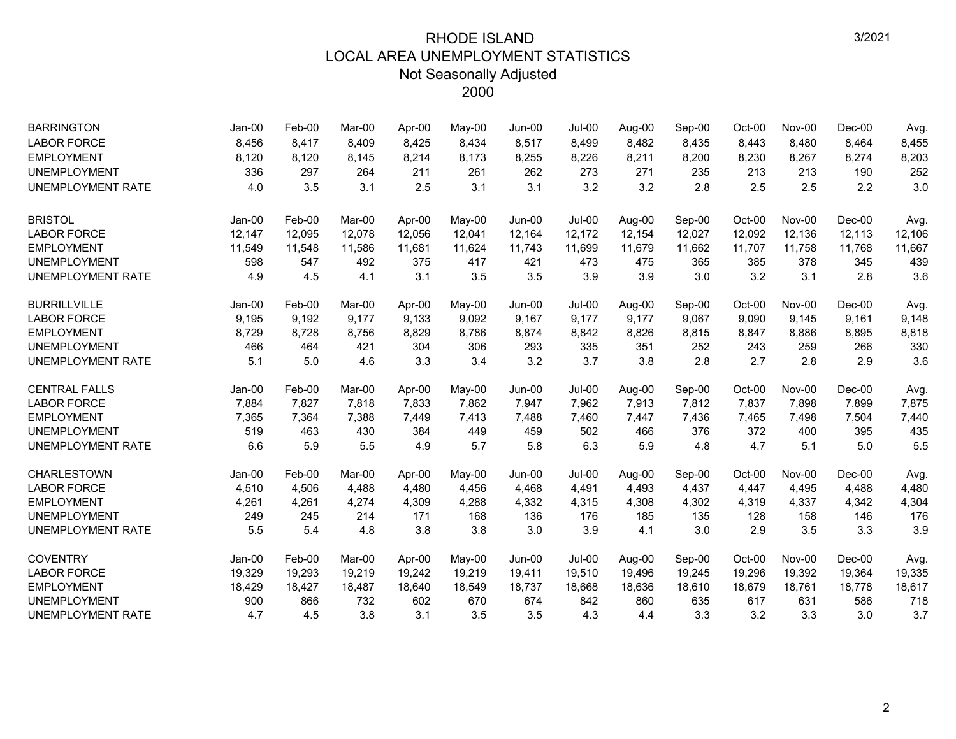| <b>BARRINGTON</b>        | $Jan-00$ | Feb-00 | Mar-00 | Apr-00 | May-00 | $Jun-00$      | <b>Jul-00</b> | Aug-00 | Sep-00 | Oct-00 | Nov-00 | $Dec-00$ | Avg.   |
|--------------------------|----------|--------|--------|--------|--------|---------------|---------------|--------|--------|--------|--------|----------|--------|
| <b>LABOR FORCE</b>       | 8,456    | 8,417  | 8,409  | 8,425  | 8,434  | 8,517         | 8,499         | 8,482  | 8,435  | 8,443  | 8,480  | 8,464    | 8,455  |
| <b>EMPLOYMENT</b>        | 8,120    | 8,120  | 8,145  | 8,214  | 8,173  | 8,255         | 8,226         | 8,211  | 8,200  | 8,230  | 8,267  | 8,274    | 8,203  |
| <b>UNEMPLOYMENT</b>      | 336      | 297    | 264    | 211    | 261    | 262           | 273           | 271    | 235    | 213    | 213    | 190      | 252    |
| <b>UNEMPLOYMENT RATE</b> | 4.0      | 3.5    | 3.1    | 2.5    | 3.1    | 3.1           | 3.2           | 3.2    | 2.8    | 2.5    | 2.5    | 2.2      | 3.0    |
| <b>BRISTOL</b>           | Jan-00   | Feb-00 | Mar-00 | Apr-00 | May-00 | Jun-00        | Jul-00        | Aug-00 | Sep-00 | Oct-00 | Nov-00 | $Dec-00$ | Avg.   |
| <b>LABOR FORCE</b>       | 12,147   | 12,095 | 12,078 | 12,056 | 12,041 | 12,164        | 12.172        | 12,154 | 12,027 | 12,092 | 12.136 | 12,113   | 12,106 |
| <b>EMPLOYMENT</b>        | 11,549   | 11,548 | 11,586 | 11,681 | 11,624 | 11,743        | 11,699        | 11,679 | 11,662 | 11,707 | 11,758 | 11,768   | 11,667 |
| <b>UNEMPLOYMENT</b>      | 598      | 547    | 492    | 375    | 417    | 421           | 473           | 475    | 365    | 385    | 378    | 345      | 439    |
| <b>UNEMPLOYMENT RATE</b> | 4.9      | 4.5    | 4.1    | 3.1    | 3.5    | 3.5           | 3.9           | 3.9    | 3.0    | 3.2    | 3.1    | 2.8      | 3.6    |
| <b>BURRILLVILLE</b>      | $Jan-00$ | Feb-00 | Mar-00 | Apr-00 | May-00 | Jun-00        | Jul-00        | Aug-00 | Sep-00 | Oct-00 | Nov-00 | $Dec-00$ | Avg.   |
| <b>LABOR FORCE</b>       | 9,195    | 9,192  | 9.177  | 9,133  | 9,092  | 9,167         | 9,177         | 9,177  | 9,067  | 9,090  | 9,145  | 9,161    | 9,148  |
| <b>EMPLOYMENT</b>        | 8,729    | 8,728  | 8,756  | 8,829  | 8,786  | 8,874         | 8,842         | 8,826  | 8,815  | 8,847  | 8,886  | 8,895    | 8,818  |
| <b>UNEMPLOYMENT</b>      | 466      | 464    | 421    | 304    | 306    | 293           | 335           | 351    | 252    | 243    | 259    | 266      | 330    |
| <b>UNEMPLOYMENT RATE</b> | 5.1      | 5.0    | 4.6    | 3.3    | 3.4    | 3.2           | 3.7           | 3.8    | 2.8    | 2.7    | 2.8    | 2.9      | 3.6    |
| <b>CENTRAL FALLS</b>     | Jan-00   | Feb-00 | Mar-00 | Apr-00 | May-00 | Jun-00        | Jul-00        | Aug-00 | Sep-00 | Oct-00 | Nov-00 | $Dec-00$ | Avg.   |
| <b>LABOR FORCE</b>       | 7,884    | 7,827  | 7,818  | 7,833  | 7,862  | 7,947         | 7,962         | 7,913  | 7,812  | 7,837  | 7,898  | 7,899    | 7,875  |
| <b>EMPLOYMENT</b>        | 7,365    | 7,364  | 7,388  | 7,449  | 7,413  | 7,488         | 7,460         | 7,447  | 7,436  | 7,465  | 7,498  | 7,504    | 7,440  |
| <b>UNEMPLOYMENT</b>      | 519      | 463    | 430    | 384    | 449    | 459           | 502           | 466    | 376    | 372    | 400    | 395      | 435    |
| <b>UNEMPLOYMENT RATE</b> | 6.6      | 5.9    | 5.5    | 4.9    | 5.7    | 5.8           | 6.3           | 5.9    | 4.8    | 4.7    | 5.1    | 5.0      | 5.5    |
| <b>CHARLESTOWN</b>       | Jan-00   | Feb-00 | Mar-00 | Apr-00 | May-00 | <b>Jun-00</b> | Jul-00        | Aug-00 | Sep-00 | Oct-00 | Nov-00 | $Dec-00$ | Avg.   |
| <b>LABOR FORCE</b>       | 4,510    | 4,506  | 4,488  | 4,480  | 4,456  | 4,468         | 4,491         | 4,493  | 4,437  | 4,447  | 4,495  | 4,488    | 4,480  |
| <b>EMPLOYMENT</b>        | 4,261    | 4,261  | 4,274  | 4,309  | 4,288  | 4,332         | 4,315         | 4,308  | 4,302  | 4,319  | 4,337  | 4,342    | 4,304  |
| <b>UNEMPLOYMENT</b>      | 249      | 245    | 214    | 171    | 168    | 136           | 176           | 185    | 135    | 128    | 158    | 146      | 176    |
| <b>UNEMPLOYMENT RATE</b> | 5.5      | 5.4    | 4.8    | 3.8    | 3.8    | 3.0           | 3.9           | 4.1    | 3.0    | 2.9    | 3.5    | 3.3      | 3.9    |
| <b>COVENTRY</b>          | Jan-00   | Feb-00 | Mar-00 | Apr-00 | May-00 | Jun-00        | Jul-00        | Aug-00 | Sep-00 | Oct-00 | Nov-00 | $Dec-00$ | Avg.   |
| <b>LABOR FORCE</b>       | 19,329   | 19,293 | 19,219 | 19,242 | 19,219 | 19,411        | 19,510        | 19,496 | 19,245 | 19,296 | 19,392 | 19,364   | 19,335 |
| <b>EMPLOYMENT</b>        | 18,429   | 18,427 | 18,487 | 18,640 | 18,549 | 18,737        | 18,668        | 18,636 | 18,610 | 18,679 | 18,761 | 18,778   | 18,617 |
| <b>UNEMPLOYMENT</b>      | 900      | 866    | 732    | 602    | 670    | 674           | 842           | 860    | 635    | 617    | 631    | 586      | 718    |
| <b>UNEMPLOYMENT RATE</b> | 4.7      | 4.5    | 3.8    | 3.1    | 3.5    | 3.5           | 4.3           | 4.4    | 3.3    | 3.2    | 3.3    | 3.0      | 3.7    |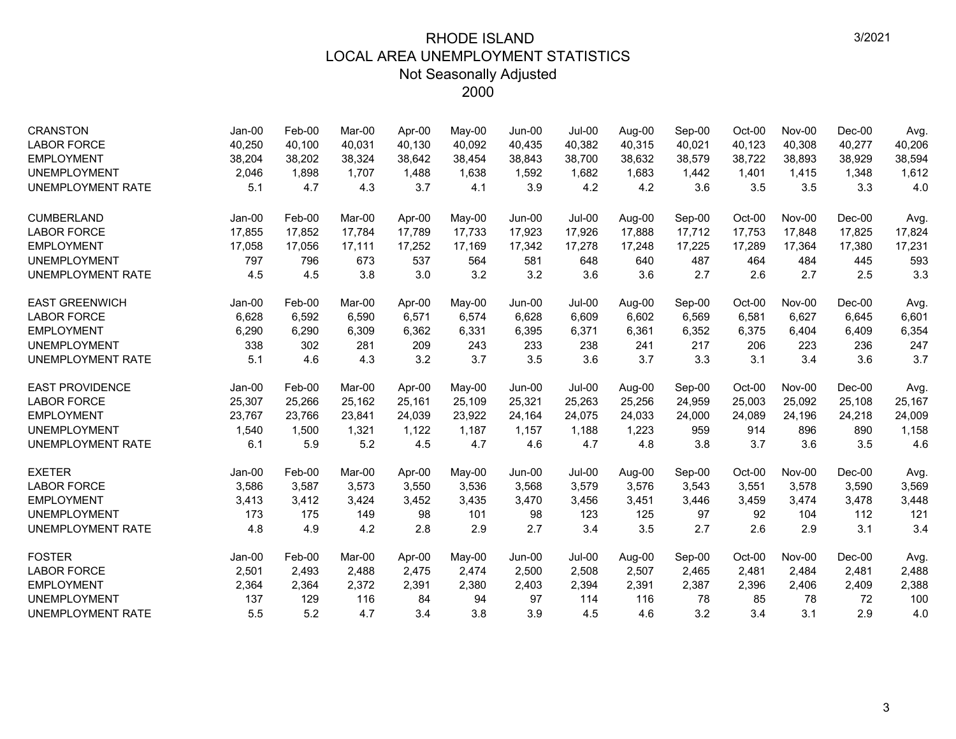| <b>CRANSTON</b>          | $Jan-00$ | Feb-00 | Mar-00 | Apr-00 | $May-00$ | Jun-00        | $Jul-00$      | Aug-00 | Sep-00 | $Oct-00$ | $Nov-00$ | $Dec-00$ | Avg.   |
|--------------------------|----------|--------|--------|--------|----------|---------------|---------------|--------|--------|----------|----------|----------|--------|
| <b>LABOR FORCE</b>       | 40,250   | 40,100 | 40,031 | 40,130 | 40,092   | 40,435        | 40,382        | 40,315 | 40,021 | 40,123   | 40,308   | 40,277   | 40,206 |
| <b>EMPLOYMENT</b>        | 38,204   | 38,202 | 38,324 | 38,642 | 38,454   | 38,843        | 38.700        | 38,632 | 38,579 | 38,722   | 38,893   | 38,929   | 38,594 |
| <b>UNEMPLOYMENT</b>      | 2,046    | 1,898  | 1,707  | 1,488  | 1,638    | 1,592         | 1,682         | 1,683  | 1,442  | 1,401    | 1,415    | 1,348    | 1,612  |
| <b>UNEMPLOYMENT RATE</b> | 5.1      | 4.7    | 4.3    | 3.7    | 4.1      | 3.9           | 4.2           | 4.2    | 3.6    | 3.5      | 3.5      | 3.3      | 4.0    |
| <b>CUMBERLAND</b>        | $Jan-00$ | Feb-00 | Mar-00 | Apr-00 | $May-00$ | $Jun-00$      | <b>Jul-00</b> | Aug-00 | Sep-00 | Oct-00   | Nov-00   | $Dec-00$ | Avg.   |
| <b>LABOR FORCE</b>       | 17,855   | 17,852 | 17,784 | 17.789 | 17,733   | 17,923        | 17,926        | 17,888 | 17,712 | 17,753   | 17,848   | 17,825   | 17,824 |
| <b>EMPLOYMENT</b>        | 17,058   | 17,056 | 17,111 | 17,252 | 17,169   | 17,342        | 17,278        | 17,248 | 17,225 | 17,289   | 17,364   | 17,380   | 17,231 |
| <b>UNEMPLOYMENT</b>      | 797      | 796    | 673    | 537    | 564      | 581           | 648           | 640    | 487    | 464      | 484      | 445      | 593    |
| <b>UNEMPLOYMENT RATE</b> | 4.5      | 4.5    | 3.8    | 3.0    | 3.2      | 3.2           | 3.6           | 3.6    | 2.7    | 2.6      | 2.7      | 2.5      | 3.3    |
| <b>EAST GREENWICH</b>    | $Jan-00$ | Feb-00 | Mar-00 | Apr-00 | May-00   | Jun-00        | $Jul-00$      | Aug-00 | Sep-00 | Oct-00   | Nov-00   | $Dec-00$ | Avg.   |
| <b>LABOR FORCE</b>       | 6,628    | 6,592  | 6,590  | 6,571  | 6,574    | 6,628         | 6,609         | 6,602  | 6,569  | 6,581    | 6,627    | 6,645    | 6,601  |
| <b>EMPLOYMENT</b>        | 6,290    | 6,290  | 6,309  | 6,362  | 6,331    | 6,395         | 6,371         | 6,361  | 6,352  | 6,375    | 6,404    | 6,409    | 6,354  |
| <b>UNEMPLOYMENT</b>      | 338      | 302    | 281    | 209    | 243      | 233           | 238           | 241    | 217    | 206      | 223      | 236      | 247    |
| <b>UNEMPLOYMENT RATE</b> | 5.1      | 4.6    | 4.3    | 3.2    | 3.7      | 3.5           | 3.6           | 3.7    | 3.3    | 3.1      | 3.4      | 3.6      | 3.7    |
| <b>EAST PROVIDENCE</b>   | $Jan-00$ | Feb-00 | Mar-00 | Apr-00 | May-00   | <b>Jun-00</b> | Jul-00        | Aug-00 | Sep-00 | $Oct-00$ | Nov-00   | $Dec-00$ | Avg.   |
| <b>LABOR FORCE</b>       | 25,307   | 25,266 | 25,162 | 25,161 | 25,109   | 25,321        | 25,263        | 25,256 | 24,959 | 25,003   | 25,092   | 25,108   | 25,167 |
| <b>EMPLOYMENT</b>        | 23,767   | 23,766 | 23,841 | 24,039 | 23,922   | 24,164        | 24,075        | 24,033 | 24,000 | 24,089   | 24,196   | 24,218   | 24,009 |
| <b>UNEMPLOYMENT</b>      | 1,540    | 1,500  | 1,321  | 1,122  | 1,187    | 1,157         | 1,188         | 1,223  | 959    | 914      | 896      | 890      | 1,158  |
| UNEMPLOYMENT RATE        | 6.1      | 5.9    | 5.2    | 4.5    | 4.7      | 4.6           | 4.7           | 4.8    | 3.8    | 3.7      | 3.6      | 3.5      | 4.6    |
| <b>EXETER</b>            | Jan-00   | Feb-00 | Mar-00 | Apr-00 | May-00   | Jun-00        | Jul-00        | Aug-00 | Sep-00 | Oct-00   | Nov-00   | $Dec-00$ | Avg.   |
| <b>LABOR FORCE</b>       | 3,586    | 3,587  | 3,573  | 3,550  | 3,536    | 3,568         | 3,579         | 3,576  | 3,543  | 3,551    | 3,578    | 3,590    | 3,569  |
| <b>EMPLOYMENT</b>        | 3,413    | 3,412  | 3,424  | 3,452  | 3,435    | 3,470         | 3,456         | 3,451  | 3,446  | 3,459    | 3,474    | 3,478    | 3,448  |
| <b>UNEMPLOYMENT</b>      | 173      | 175    | 149    | 98     | 101      | 98            | 123           | 125    | 97     | 92       | 104      | 112      | 121    |
| <b>UNEMPLOYMENT RATE</b> | 4.8      | 4.9    | 4.2    | 2.8    | 2.9      | 2.7           | 3.4           | 3.5    | 2.7    | 2.6      | 2.9      | 3.1      | 3.4    |
| <b>FOSTER</b>            | Jan-00   | Feb-00 | Mar-00 | Apr-00 | May-00   | Jun-00        | $Jul-00$      | Aug-00 | Sep-00 | Oct-00   | Nov-00   | $Dec-00$ | Avg.   |
| <b>LABOR FORCE</b>       | 2,501    | 2,493  | 2,488  | 2,475  | 2,474    | 2,500         | 2,508         | 2,507  | 2,465  | 2,481    | 2,484    | 2,481    | 2,488  |
| <b>EMPLOYMENT</b>        | 2,364    | 2,364  | 2,372  | 2,391  | 2,380    | 2,403         | 2,394         | 2,391  | 2,387  | 2,396    | 2,406    | 2,409    | 2,388  |
| <b>UNEMPLOYMENT</b>      | 137      | 129    | 116    | 84     | 94       | 97            | 114           | 116    | 78     | 85       | 78       | 72       | 100    |
| UNEMPLOYMENT RATE        | 5.5      | 5.2    | 4.7    | 3.4    | 3.8      | 3.9           | 4.5           | 4.6    | 3.2    | 3.4      | 3.1      | 2.9      | 4.0    |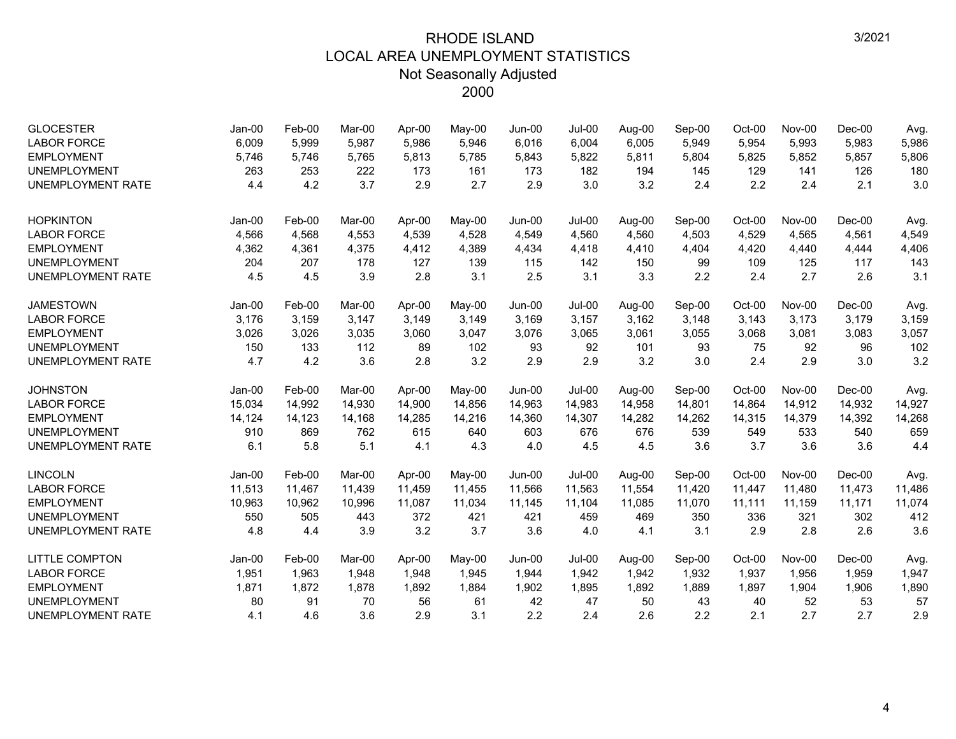| <b>GLOCESTER</b><br><b>LABOR FORCE</b><br><b>EMPLOYMENT</b><br><b>UNEMPLOYMENT</b><br><b>UNEMPLOYMENT RATE</b> | $Jan-00$<br>6,009<br>5,746<br>263<br>4.4 | Feb-00<br>5,999<br>5,746<br>253<br>4.2 | Mar-00<br>5,987<br>5,765<br>222<br>3.7 | Apr-00<br>5,986<br>5,813<br>173<br>2.9 | May-00<br>5,946<br>5,785<br>161<br>2.7 | $Jun-00$<br>6,016<br>5,843<br>173<br>2.9 | <b>Jul-00</b><br>6,004<br>5,822<br>182<br>3.0 | Aug-00<br>6,005<br>5,811<br>194<br>3.2 | Sep-00<br>5,949<br>5,804<br>145<br>2.4 | Oct-00<br>5,954<br>5,825<br>129<br>2.2 | $Nov-00$<br>5,993<br>5,852<br>141<br>2.4 | $Dec-00$<br>5,983<br>5,857<br>126<br>2.1 | Avg.<br>5,986<br>5,806<br>180<br>3.0 |
|----------------------------------------------------------------------------------------------------------------|------------------------------------------|----------------------------------------|----------------------------------------|----------------------------------------|----------------------------------------|------------------------------------------|-----------------------------------------------|----------------------------------------|----------------------------------------|----------------------------------------|------------------------------------------|------------------------------------------|--------------------------------------|
| <b>HOPKINTON</b>                                                                                               | $Jan-00$                                 | Feb-00                                 | Mar-00                                 | Apr-00                                 | May-00                                 | $Jun-00$                                 | Jul-00                                        | Aug-00                                 | Sep-00                                 | Oct-00                                 | Nov-00                                   | $Dec-00$                                 | Avg.                                 |
| <b>LABOR FORCE</b>                                                                                             | 4,566                                    | 4,568                                  | 4,553                                  | 4,539                                  | 4,528                                  | 4,549                                    | 4,560                                         | 4,560                                  | 4,503                                  | 4,529                                  | 4,565                                    | 4,561                                    | 4,549                                |
| <b>EMPLOYMENT</b>                                                                                              | 4,362                                    | 4,361                                  | 4,375                                  | 4,412                                  | 4,389                                  | 4,434                                    | 4,418                                         | 4,410                                  | 4,404                                  | 4,420                                  | 4,440                                    | 4,444                                    | 4,406                                |
| <b>UNEMPLOYMENT</b>                                                                                            | 204                                      | 207                                    | 178                                    | 127                                    | 139                                    | 115                                      | 142                                           | 150                                    | 99                                     | 109                                    | 125                                      | 117                                      | 143                                  |
| <b>UNEMPLOYMENT RATE</b>                                                                                       | 4.5                                      | 4.5                                    | 3.9                                    | 2.8                                    | 3.1                                    | 2.5                                      | 3.1                                           | 3.3                                    | 2.2                                    | 2.4                                    | 2.7                                      | 2.6                                      | 3.1                                  |
| <b>JAMESTOWN</b>                                                                                               | $Jan-00$                                 | Feb-00                                 | Mar-00                                 | Apr-00                                 | May-00                                 | Jun-00                                   | <b>Jul-00</b>                                 | Aug-00                                 | Sep-00                                 | Oct-00                                 | Nov-00                                   | $Dec-00$                                 | Avg.                                 |
| <b>LABOR FORCE</b>                                                                                             | 3,176                                    | 3,159                                  | 3,147                                  | 3,149                                  | 3,149                                  | 3,169                                    | 3,157                                         | 3,162                                  | 3,148                                  | 3,143                                  | 3,173                                    | 3,179                                    | 3,159                                |
| <b>EMPLOYMENT</b>                                                                                              | 3,026                                    | 3,026                                  | 3,035                                  | 3,060                                  | 3,047                                  | 3,076                                    | 3,065                                         | 3,061                                  | 3,055                                  | 3,068                                  | 3,081                                    | 3,083                                    | 3,057                                |
| <b>UNEMPLOYMENT</b>                                                                                            | 150                                      | 133                                    | 112                                    | 89                                     | 102                                    | 93                                       | 92                                            | 101                                    | 93                                     | 75                                     | 92                                       | 96                                       | 102                                  |
| <b>UNEMPLOYMENT RATE</b>                                                                                       | 4.7                                      | 4.2                                    | 3.6                                    | 2.8                                    | 3.2                                    | 2.9                                      | 2.9                                           | 3.2                                    | 3.0                                    | 2.4                                    | 2.9                                      | 3.0                                      | 3.2                                  |
| <b>JOHNSTON</b>                                                                                                | $Jan-00$                                 | Feb-00                                 | Mar-00                                 | Apr-00                                 | May-00                                 | Jun-00                                   | Jul-00                                        | Aug-00                                 | Sep-00                                 | Oct-00                                 | Nov-00                                   | $Dec-00$                                 | Avg.                                 |
| <b>LABOR FORCE</b>                                                                                             | 15,034                                   | 14,992                                 | 14,930                                 | 14,900                                 | 14,856                                 | 14,963                                   | 14,983                                        | 14,958                                 | 14,801                                 | 14,864                                 | 14,912                                   | 14,932                                   | 14,927                               |
| <b>EMPLOYMENT</b>                                                                                              | 14,124                                   | 14,123                                 | 14,168                                 | 14,285                                 | 14,216                                 | 14,360                                   | 14,307                                        | 14,282                                 | 14,262                                 | 14,315                                 | 14,379                                   | 14,392                                   | 14,268                               |
| <b>UNEMPLOYMENT</b>                                                                                            | 910                                      | 869                                    | 762                                    | 615                                    | 640                                    | 603                                      | 676                                           | 676                                    | 539                                    | 549                                    | 533                                      | 540                                      | 659                                  |
| <b>UNEMPLOYMENT RATE</b>                                                                                       | 6.1                                      | 5.8                                    | 5.1                                    | 4.1                                    | 4.3                                    | 4.0                                      | 4.5                                           | 4.5                                    | 3.6                                    | 3.7                                    | 3.6                                      | 3.6                                      | 4.4                                  |
| <b>LINCOLN</b>                                                                                                 | $Jan-00$                                 | Feb-00                                 | Mar-00                                 | Apr-00                                 | May-00                                 | $Jun-00$                                 | $Jul-00$                                      | Aug-00                                 | Sep-00                                 | Oct-00                                 | Nov-00                                   | $Dec-00$                                 | Avg.                                 |
| <b>LABOR FORCE</b>                                                                                             | 11,513                                   | 11,467                                 | 11.439                                 | 11.459                                 | 11,455                                 | 11,566                                   | 11.563                                        | 11.554                                 | 11,420                                 | 11,447                                 | 11.480                                   | 11,473                                   | 11,486                               |
| <b>EMPLOYMENT</b>                                                                                              | 10,963                                   | 10,962                                 | 10.996                                 | 11.087                                 | 11,034                                 | 11,145                                   | 11,104                                        | 11,085                                 | 11,070                                 | 11,111                                 | 11.159                                   | 11,171                                   | 11,074                               |
| <b>UNEMPLOYMENT</b>                                                                                            | 550                                      | 505                                    | 443                                    | 372                                    | 421                                    | 421                                      | 459                                           | 469                                    | 350                                    | 336                                    | 321                                      | 302                                      | 412                                  |
| <b>UNEMPLOYMENT RATE</b>                                                                                       | 4.8                                      | 4.4                                    | 3.9                                    | 3.2                                    | 3.7                                    | 3.6                                      | 4.0                                           | 4.1                                    | 3.1                                    | 2.9                                    | 2.8                                      | 2.6                                      | 3.6                                  |
| <b>LITTLE COMPTON</b>                                                                                          | $Jan-00$                                 | Feb-00                                 | Mar-00                                 | Apr-00                                 | May-00                                 | Jun-00                                   | $Jul-00$                                      | Aug-00                                 | Sep-00                                 | $Oct-00$                               | Nov-00                                   | $Dec-00$                                 | Avg.                                 |
| <b>LABOR FORCE</b>                                                                                             | 1,951                                    | 1,963                                  | 1,948                                  | 1,948                                  | 1,945                                  | 1,944                                    | 1,942                                         | 1,942                                  | 1,932                                  | 1,937                                  | 1,956                                    | 1,959                                    | 1,947                                |
| <b>EMPLOYMENT</b>                                                                                              | 1,871                                    | 1,872                                  | 1,878                                  | 1,892                                  | 1,884                                  | 1,902                                    | 1,895                                         | 1,892                                  | 1,889                                  | 1,897                                  | 1,904                                    | 1,906                                    | 1,890                                |
| <b>UNEMPLOYMENT</b>                                                                                            | 80                                       | 91                                     | 70                                     | 56                                     | 61                                     | 42                                       | 47                                            | 50                                     | 43                                     | 40                                     | 52                                       | 53                                       | 57                                   |
| <b>UNEMPLOYMENT RATE</b>                                                                                       | 4.1                                      | 4.6                                    | 3.6                                    | 2.9                                    | 3.1                                    | 2.2                                      | 2.4                                           | 2.6                                    | 2.2                                    | 2.1                                    | 2.7                                      | 2.7                                      | 2.9                                  |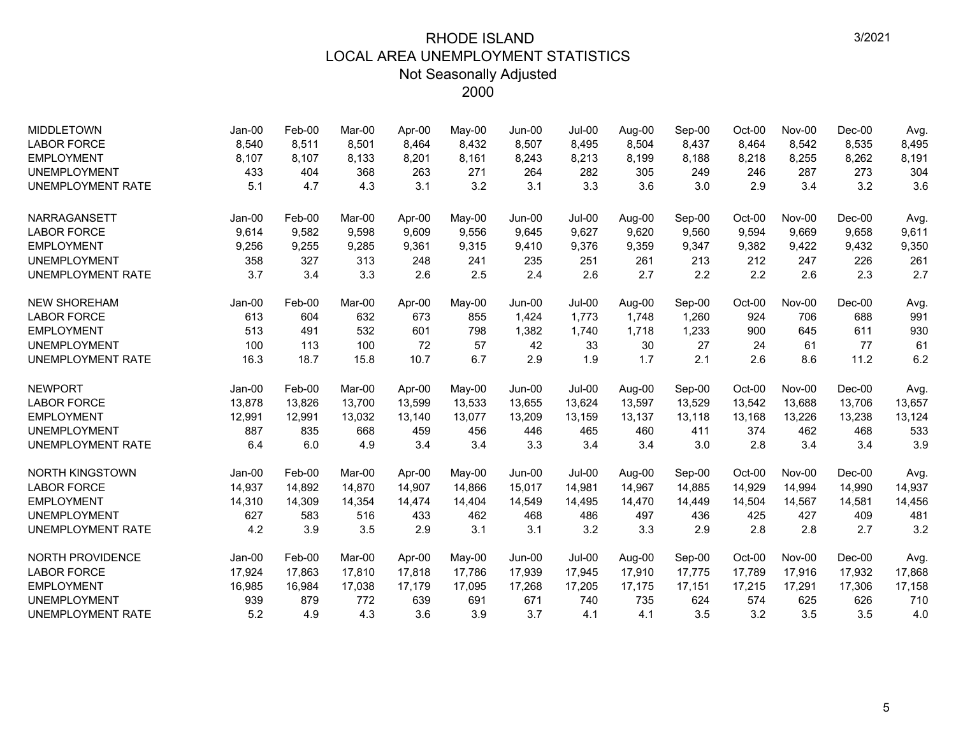| <b>MIDDLETOWN</b>        | $Jan-00$ | Feb-00 | Mar-00 | Apr-00 | May-00   | Jun-00 | Jul-00   | Aug-00 | Sep-00 | Oct-00 | Nov-00 | Dec-00   | Avg.   |
|--------------------------|----------|--------|--------|--------|----------|--------|----------|--------|--------|--------|--------|----------|--------|
| <b>LABOR FORCE</b>       | 8,540    | 8,511  | 8,501  | 8,464  | 8,432    | 8,507  | 8,495    | 8,504  | 8,437  | 8,464  | 8,542  | 8,535    | 8,495  |
| <b>EMPLOYMENT</b>        | 8.107    | 8,107  | 8,133  | 8,201  | 8,161    | 8,243  | 8,213    | 8,199  | 8,188  | 8,218  | 8,255  | 8,262    | 8,191  |
| <b>UNEMPLOYMENT</b>      | 433      | 404    | 368    | 263    | 271      | 264    | 282      | 305    | 249    | 246    | 287    | 273      | 304    |
| <b>UNEMPLOYMENT RATE</b> | 5.1      | 4.7    | 4.3    | 3.1    | 3.2      | 3.1    | 3.3      | 3.6    | 3.0    | 2.9    | 3.4    | 3.2      | 3.6    |
| <b>NARRAGANSETT</b>      | $Jan-00$ | Feb-00 | Mar-00 | Apr-00 | $May-00$ | Jun-00 | $Jul-00$ | Aug-00 | Sep-00 | Oct-00 | Nov-00 | $Dec-00$ | Avg.   |
| <b>LABOR FORCE</b>       | 9,614    | 9,582  | 9,598  | 9,609  | 9,556    | 9,645  | 9,627    | 9,620  | 9,560  | 9,594  | 9,669  | 9,658    | 9,611  |
| <b>EMPLOYMENT</b>        | 9,256    | 9,255  | 9,285  | 9,361  | 9,315    | 9,410  | 9,376    | 9,359  | 9,347  | 9,382  | 9,422  | 9,432    | 9,350  |
| <b>UNEMPLOYMENT</b>      | 358      | 327    | 313    | 248    | 241      | 235    | 251      | 261    | 213    | 212    | 247    | 226      | 261    |
| <b>UNEMPLOYMENT RATE</b> | 3.7      | 3.4    | 3.3    | 2.6    | 2.5      | 2.4    | 2.6      | 2.7    | 2.2    | 2.2    | 2.6    | 2.3      | 2.7    |
| <b>NEW SHOREHAM</b>      | Jan-00   | Feb-00 | Mar-00 | Apr-00 | May-00   | Jun-00 | Jul-00   | Aug-00 | Sep-00 | Oct-00 | Nov-00 | $Dec-00$ | Avg.   |
| <b>LABOR FORCE</b>       | 613      | 604    | 632    | 673    | 855      | 1,424  | 1,773    | 1,748  | 1,260  | 924    | 706    | 688      | 991    |
| <b>EMPLOYMENT</b>        | 513      | 491    | 532    | 601    | 798      | 1,382  | 1,740    | 1,718  | 1,233  | 900    | 645    | 611      | 930    |
| <b>UNEMPLOYMENT</b>      | 100      | 113    | 100    | 72     | 57       | 42     | 33       | 30     | 27     | 24     | 61     | 77       | 61     |
| <b>UNEMPLOYMENT RATE</b> | 16.3     | 18.7   | 15.8   | 10.7   | 6.7      | 2.9    | 1.9      | 1.7    | 2.1    | 2.6    | 8.6    | 11.2     | 6.2    |
| <b>NEWPORT</b>           | $Jan-00$ | Feb-00 | Mar-00 | Apr-00 | May-00   | Jun-00 | $Jul-00$ | Aug-00 | Sep-00 | Oct-00 | Nov-00 | $Dec-00$ | Avg.   |
| <b>LABOR FORCE</b>       | 13,878   | 13,826 | 13,700 | 13,599 | 13,533   | 13,655 | 13,624   | 13,597 | 13,529 | 13,542 | 13,688 | 13,706   | 13,657 |
| <b>EMPLOYMENT</b>        | 12,991   | 12,991 | 13,032 | 13,140 | 13,077   | 13,209 | 13,159   | 13,137 | 13,118 | 13,168 | 13,226 | 13,238   | 13,124 |
| <b>UNEMPLOYMENT</b>      | 887      | 835    | 668    | 459    | 456      | 446    | 465      | 460    | 411    | 374    | 462    | 468      | 533    |
| <b>UNEMPLOYMENT RATE</b> | 6.4      | 6.0    | 4.9    | 3.4    | 3.4      | 3.3    | 3.4      | 3.4    | 3.0    | 2.8    | 3.4    | 3.4      | 3.9    |
| <b>NORTH KINGSTOWN</b>   | Jan-00   | Feb-00 | Mar-00 | Apr-00 | May-00   | Jun-00 | $Jul-00$ | Aug-00 | Sep-00 | Oct-00 | Nov-00 | $Dec-00$ | Avg.   |
| <b>LABOR FORCE</b>       | 14,937   | 14,892 | 14.870 | 14,907 | 14,866   | 15,017 | 14,981   | 14,967 | 14,885 | 14,929 | 14,994 | 14,990   | 14,937 |
| <b>EMPLOYMENT</b>        | 14,310   | 14,309 | 14,354 | 14,474 | 14,404   | 14,549 | 14,495   | 14,470 | 14,449 | 14,504 | 14,567 | 14,581   | 14,456 |
| <b>UNEMPLOYMENT</b>      | 627      | 583    | 516    | 433    | 462      | 468    | 486      | 497    | 436    | 425    | 427    | 409      | 481    |
| <b>UNEMPLOYMENT RATE</b> | 4.2      | 3.9    | 3.5    | 2.9    | 3.1      | 3.1    | 3.2      | 3.3    | 2.9    | 2.8    | 2.8    | 2.7      | 3.2    |
| <b>NORTH PROVIDENCE</b>  | $Jan-00$ | Feb-00 | Mar-00 | Apr-00 | May-00   | Jun-00 | $Jul-00$ | Aug-00 | Sep-00 | Oct-00 | Nov-00 | $Dec-00$ | Avg.   |
| <b>LABOR FORCE</b>       | 17,924   | 17,863 | 17,810 | 17,818 | 17,786   | 17,939 | 17,945   | 17,910 | 17,775 | 17,789 | 17,916 | 17,932   | 17,868 |
| <b>EMPLOYMENT</b>        | 16,985   | 16,984 | 17,038 | 17,179 | 17,095   | 17,268 | 17,205   | 17,175 | 17,151 | 17,215 | 17,291 | 17,306   | 17,158 |
| <b>UNEMPLOYMENT</b>      | 939      | 879    | 772    | 639    | 691      | 671    | 740      | 735    | 624    | 574    | 625    | 626      | 710    |
| <b>UNEMPLOYMENT RATE</b> | 5.2      | 4.9    | 4.3    | 3.6    | 3.9      | 3.7    | 4.1      | 4.1    | 3.5    | 3.2    | 3.5    | 3.5      | 4.0    |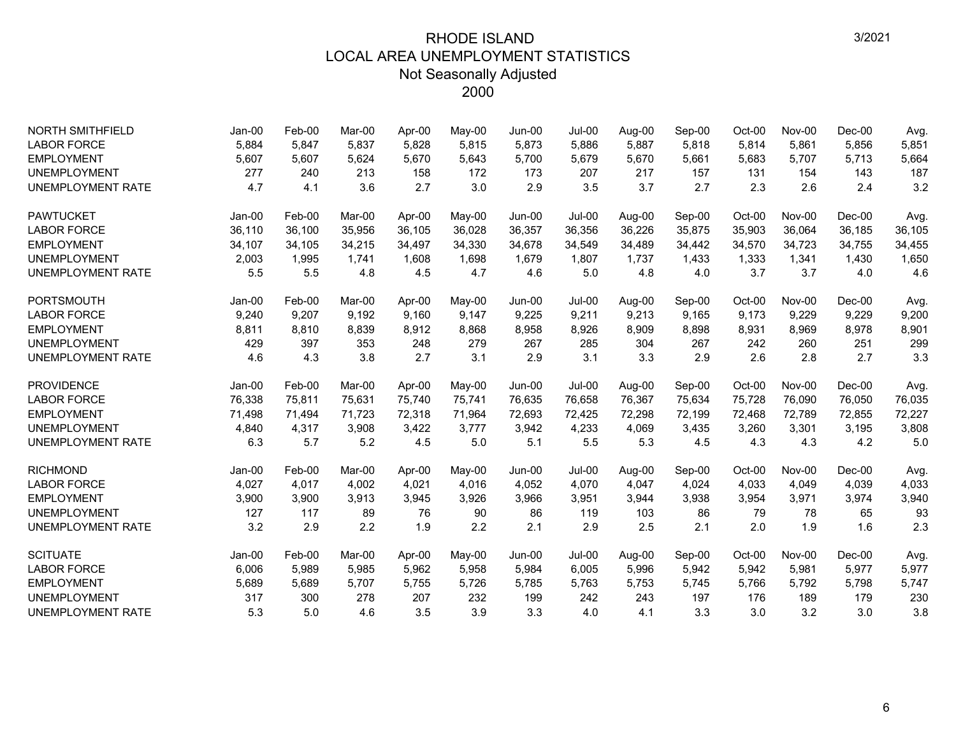| <b>NORTH SMITHFIELD</b>  | $Jan-00$ | Feb-00 | Mar-00 | Apr-00 | May-00 | Jun-00        | Jul-00        | Aug-00 | Sep-00 | Oct-00 | Nov-00   | $Dec-00$ | Avg.   |
|--------------------------|----------|--------|--------|--------|--------|---------------|---------------|--------|--------|--------|----------|----------|--------|
| <b>LABOR FORCE</b>       | 5,884    | 5.847  | 5.837  | 5,828  | 5,815  | 5,873         | 5,886         | 5,887  | 5,818  | 5,814  | 5,861    | 5,856    | 5,851  |
| <b>EMPLOYMENT</b>        | 5,607    | 5,607  | 5,624  | 5,670  | 5,643  | 5,700         | 5,679         | 5,670  | 5,661  | 5,683  | 5,707    | 5,713    | 5,664  |
| <b>UNEMPLOYMENT</b>      | 277      | 240    | 213    | 158    | 172    | 173           | 207           | 217    | 157    | 131    | 154      | 143      | 187    |
| <b>UNEMPLOYMENT RATE</b> | 4.7      | 4.1    | 3.6    | 2.7    | 3.0    | 2.9           | 3.5           | 3.7    | 2.7    | 2.3    | 2.6      | 2.4      | 3.2    |
| <b>PAWTUCKET</b>         | $Jan-00$ | Feb-00 | Mar-00 | Apr-00 | May-00 | <b>Jun-00</b> | Jul-00        | Aug-00 | Sep-00 | Oct-00 | Nov-00   | $Dec-00$ | Avg.   |
| <b>LABOR FORCE</b>       | 36,110   | 36,100 | 35,956 | 36.105 | 36,028 | 36,357        | 36,356        | 36,226 | 35,875 | 35,903 | 36,064   | 36,185   | 36,105 |
| <b>EMPLOYMENT</b>        | 34,107   | 34,105 | 34,215 | 34,497 | 34,330 | 34,678        | 34,549        | 34,489 | 34,442 | 34,570 | 34,723   | 34,755   | 34,455 |
| <b>UNEMPLOYMENT</b>      | 2,003    | 1,995  | 1,741  | 1,608  | 1,698  | 1,679         | 1,807         | 1,737  | 1,433  | 1,333  | 1,341    | 1,430    | 1,650  |
| <b>UNEMPLOYMENT RATE</b> | 5.5      | 5.5    | 4.8    | 4.5    | 4.7    | 4.6           | 5.0           | 4.8    | 4.0    | 3.7    | 3.7      | 4.0      | 4.6    |
| <b>PORTSMOUTH</b>        | Jan-00   | Feb-00 | Mar-00 | Apr-00 | May-00 | Jun-00        | <b>Jul-00</b> | Aug-00 | Sep-00 | Oct-00 | $Nov-00$ | $Dec-00$ | Avg.   |
| <b>LABOR FORCE</b>       | 9,240    | 9,207  | 9,192  | 9,160  | 9,147  | 9,225         | 9,211         | 9,213  | 9,165  | 9,173  | 9,229    | 9,229    | 9,200  |
| <b>EMPLOYMENT</b>        | 8,811    | 8,810  | 8,839  | 8,912  | 8,868  | 8,958         | 8,926         | 8,909  | 8,898  | 8,931  | 8,969    | 8,978    | 8,901  |
| <b>UNEMPLOYMENT</b>      | 429      | 397    | 353    | 248    | 279    | 267           | 285           | 304    | 267    | 242    | 260      | 251      | 299    |
| <b>UNEMPLOYMENT RATE</b> | 4.6      | 4.3    | 3.8    | 2.7    | 3.1    | 2.9           | 3.1           | 3.3    | 2.9    | 2.6    | 2.8      | 2.7      | 3.3    |
| <b>PROVIDENCE</b>        | Jan-00   | Feb-00 | Mar-00 | Apr-00 | May-00 | Jun-00        | Jul-00        | Aug-00 | Sep-00 | Oct-00 | Nov-00   | $Dec-00$ | Avg.   |
| <b>LABOR FORCE</b>       | 76,338   | 75,811 | 75,631 | 75,740 | 75,741 | 76,635        | 76,658        | 76,367 | 75,634 | 75,728 | 76,090   | 76,050   | 76,035 |
| <b>EMPLOYMENT</b>        | 71,498   | 71,494 | 71.723 | 72,318 | 71,964 | 72,693        | 72,425        | 72,298 | 72,199 | 72,468 | 72,789   | 72,855   | 72,227 |
| <b>UNEMPLOYMENT</b>      | 4,840    | 4,317  | 3,908  | 3,422  | 3,777  | 3,942         | 4,233         | 4,069  | 3,435  | 3,260  | 3,301    | 3,195    | 3,808  |
| <b>UNEMPLOYMENT RATE</b> | 6.3      | 5.7    | 5.2    | 4.5    | 5.0    | 5.1           | 5.5           | 5.3    | 4.5    | 4.3    | 4.3      | 4.2      | 5.0    |
| <b>RICHMOND</b>          | $Jan-00$ | Feb-00 | Mar-00 | Apr-00 | May-00 | <b>Jun-00</b> | Jul-00        | Aug-00 | Sep-00 | Oct-00 | Nov-00   | $Dec-00$ | Avg.   |
| <b>LABOR FORCE</b>       | 4,027    | 4,017  | 4,002  | 4,021  | 4,016  | 4,052         | 4,070         | 4,047  | 4,024  | 4,033  | 4,049    | 4,039    | 4,033  |
| <b>EMPLOYMENT</b>        | 3,900    | 3,900  | 3,913  | 3,945  | 3,926  | 3,966         | 3,951         | 3,944  | 3,938  | 3,954  | 3,971    | 3,974    | 3,940  |
| <b>UNEMPLOYMENT</b>      | 127      | 117    | 89     | 76     | 90     | 86            | 119           | 103    | 86     | 79     | 78       | 65       | 93     |
| <b>UNEMPLOYMENT RATE</b> | 3.2      | 2.9    | 2.2    | 1.9    | 2.2    | 2.1           | 2.9           | 2.5    | 2.1    | 2.0    | 1.9      | 1.6      | 2.3    |
| <b>SCITUATE</b>          | Jan-00   | Feb-00 | Mar-00 | Apr-00 | May-00 | Jun-00        | Jul-00        | Aug-00 | Sep-00 | Oct-00 | Nov-00   | $Dec-00$ | Avg.   |
| <b>LABOR FORCE</b>       | 6,006    | 5,989  | 5,985  | 5,962  | 5,958  | 5,984         | 6,005         | 5,996  | 5,942  | 5,942  | 5,981    | 5,977    | 5,977  |
| <b>EMPLOYMENT</b>        | 5,689    | 5,689  | 5,707  | 5,755  | 5,726  | 5,785         | 5,763         | 5,753  | 5,745  | 5,766  | 5,792    | 5,798    | 5,747  |
| <b>UNEMPLOYMENT</b>      | 317      | 300    | 278    | 207    | 232    | 199           | 242           | 243    | 197    | 176    | 189      | 179      | 230    |
| <b>UNEMPLOYMENT RATE</b> | 5.3      | 5.0    | 4.6    | 3.5    | 3.9    | 3.3           | 4.0           | 4.1    | 3.3    | 3.0    | 3.2      | 3.0      | 3.8    |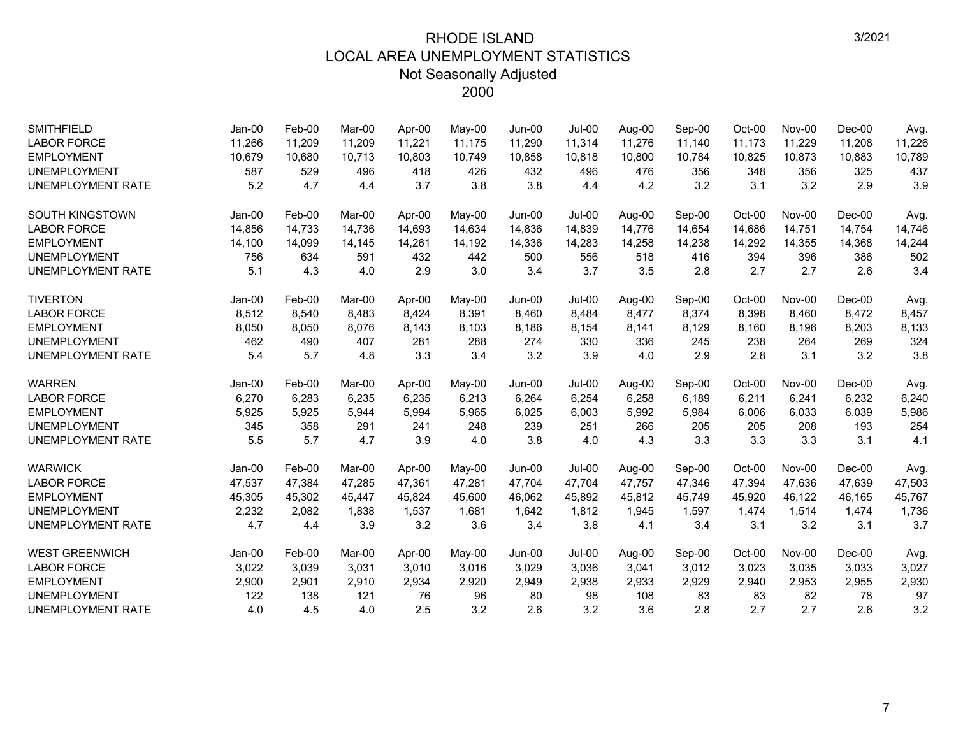| <b>SMITHFIELD</b>        | $Jan-00$ | Feb-00 | Mar-00 | Apr-00 | May-00   | Jun-00        | $Jul-00$ | Aug-00 | Sep-00 | Oct-00 | Nov-00 | $Dec-00$ | Avg.   |
|--------------------------|----------|--------|--------|--------|----------|---------------|----------|--------|--------|--------|--------|----------|--------|
| <b>LABOR FORCE</b>       | 11,266   | 11,209 | 11.209 | 11,221 | 11,175   | 11,290        | 11,314   | 11,276 | 11,140 | 11,173 | 11,229 | 11,208   | 11,226 |
| <b>EMPLOYMENT</b>        | 10,679   | 10,680 | 10,713 | 10,803 | 10,749   | 10,858        | 10,818   | 10,800 | 10,784 | 10,825 | 10,873 | 10,883   | 10,789 |
| <b>UNEMPLOYMENT</b>      | 587      | 529    | 496    | 418    | 426      | 432           | 496      | 476    | 356    | 348    | 356    | 325      | 437    |
| <b>UNEMPLOYMENT RATE</b> | 5.2      | 4.7    | 4.4    | 3.7    | 3.8      | 3.8           | 4.4      | 4.2    | 3.2    | 3.1    | 3.2    | 2.9      | 3.9    |
| SOUTH KINGSTOWN          | Jan-00   | Feb-00 | Mar-00 | Apr-00 | May-00   | Jun-00        | Jul-00   | Aug-00 | Sep-00 | Oct-00 | Nov-00 | $Dec-00$ | Avg.   |
| <b>LABOR FORCE</b>       | 14,856   | 14,733 | 14,736 | 14,693 | 14,634   | 14,836        | 14,839   | 14,776 | 14,654 | 14,686 | 14,751 | 14,754   | 14,746 |
| <b>EMPLOYMENT</b>        | 14,100   | 14,099 | 14,145 | 14,261 | 14,192   | 14,336        | 14,283   | 14,258 | 14,238 | 14,292 | 14,355 | 14,368   | 14,244 |
| <b>UNEMPLOYMENT</b>      | 756      | 634    | 591    | 432    | 442      | 500           | 556      | 518    | 416    | 394    | 396    | 386      | 502    |
| <b>UNEMPLOYMENT RATE</b> | 5.1      | 4.3    | 4.0    | 2.9    | 3.0      | 3.4           | 3.7      | 3.5    | 2.8    | 2.7    | 2.7    | 2.6      | 3.4    |
| <b>TIVERTON</b>          | Jan-00   | Feb-00 | Mar-00 | Apr-00 | May-00   | <b>Jun-00</b> | Jul-00   | Aug-00 | Sep-00 | Oct-00 | Nov-00 | $Dec-00$ | Avg.   |
| <b>LABOR FORCE</b>       | 8,512    | 8,540  | 8,483  | 8,424  | 8,391    | 8,460         | 8,484    | 8,477  | 8,374  | 8,398  | 8,460  | 8,472    | 8,457  |
| <b>EMPLOYMENT</b>        | 8,050    | 8,050  | 8,076  | 8,143  | 8,103    | 8,186         | 8,154    | 8,141  | 8,129  | 8,160  | 8,196  | 8,203    | 8,133  |
| <b>UNEMPLOYMENT</b>      | 462      | 490    | 407    | 281    | 288      | 274           | 330      | 336    | 245    | 238    | 264    | 269      | 324    |
| <b>UNEMPLOYMENT RATE</b> | 5.4      | 5.7    | 4.8    | 3.3    | 3.4      | 3.2           | 3.9      | 4.0    | 2.9    | 2.8    | 3.1    | 3.2      | 3.8    |
| <b>WARREN</b>            | Jan-00   | Feb-00 | Mar-00 | Apr-00 | $May-00$ | <b>Jun-00</b> | Jul-00   | Aug-00 | Sep-00 | Oct-00 | Nov-00 | $Dec-00$ | Avg.   |
| <b>LABOR FORCE</b>       | 6,270    | 6,283  | 6,235  | 6,235  | 6,213    | 6,264         | 6,254    | 6,258  | 6,189  | 6,211  | 6,241  | 6,232    | 6,240  |
| <b>EMPLOYMENT</b>        | 5,925    | 5,925  | 5,944  | 5,994  | 5,965    | 6,025         | 6,003    | 5,992  | 5,984  | 6,006  | 6,033  | 6,039    | 5,986  |
| <b>UNEMPLOYMENT</b>      | 345      | 358    | 291    | 241    | 248      | 239           | 251      | 266    | 205    | 205    | 208    | 193      | 254    |
| <b>UNEMPLOYMENT RATE</b> | 5.5      | 5.7    | 4.7    | 3.9    | 4.0      | 3.8           | 4.0      | 4.3    | 3.3    | 3.3    | 3.3    | 3.1      | 4.1    |
| <b>WARWICK</b>           | $Jan-00$ | Feb-00 | Mar-00 | Apr-00 | May-00   | <b>Jun-00</b> | $Jul-00$ | Aug-00 | Sep-00 | Oct-00 | Nov-00 | $Dec-00$ | Avg.   |
| <b>LABOR FORCE</b>       | 47,537   | 47,384 | 47,285 | 47,361 | 47,281   | 47,704        | 47,704   | 47,757 | 47,346 | 47,394 | 47,636 | 47,639   | 47,503 |
| <b>EMPLOYMENT</b>        | 45,305   | 45,302 | 45,447 | 45,824 | 45,600   | 46,062        | 45,892   | 45,812 | 45,749 | 45,920 | 46,122 | 46,165   | 45,767 |
| <b>UNEMPLOYMENT</b>      | 2,232    | 2,082  | 1,838  | 1,537  | 1,681    | 1,642         | 1,812    | 1,945  | 1,597  | 1,474  | 1,514  | 1,474    | 1,736  |
| <b>UNEMPLOYMENT RATE</b> | 4.7      | 4.4    | 3.9    | 3.2    | 3.6      | 3.4           | 3.8      | 4.1    | 3.4    | 3.1    | 3.2    | 3.1      | 3.7    |
| <b>WEST GREENWICH</b>    | $Jan-00$ | Feb-00 | Mar-00 | Apr-00 | May-00   | Jun-00        | $Jul-00$ | Aug-00 | Sep-00 | Oct-00 | Nov-00 | $Dec-00$ | Avg.   |
| <b>LABOR FORCE</b>       | 3,022    | 3,039  | 3,031  | 3,010  | 3,016    | 3,029         | 3,036    | 3,041  | 3,012  | 3,023  | 3,035  | 3,033    | 3,027  |
| <b>EMPLOYMENT</b>        | 2,900    | 2,901  | 2,910  | 2,934  | 2,920    | 2,949         | 2,938    | 2,933  | 2,929  | 2,940  | 2,953  | 2,955    | 2,930  |
| <b>UNEMPLOYMENT</b>      | 122      | 138    | 121    | 76     | 96       | 80            | 98       | 108    | 83     | 83     | 82     | 78       | 97     |
| <b>UNEMPLOYMENT RATE</b> | 4.0      | 4.5    | 4.0    | 2.5    | 3.2      | 2.6           | 3.2      | 3.6    | 2.8    | 2.7    | 2.7    | 2.6      | 3.2    |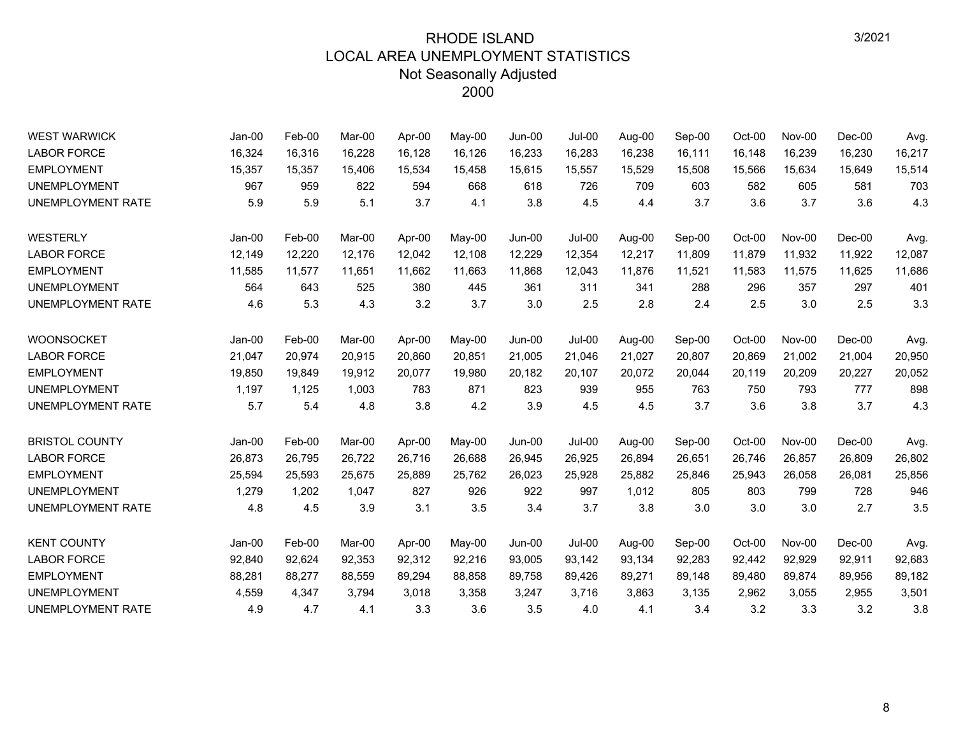| <b>WEST WARWICK</b>      | Jan-00   | Feb-00 | Mar-00 | Apr-00 | May-00 | Jun-00        | Jul-00   | Aug-00 | Sep-00 | Oct-00 | Nov-00 | $Dec-00$ | Avg.   |
|--------------------------|----------|--------|--------|--------|--------|---------------|----------|--------|--------|--------|--------|----------|--------|
| <b>LABOR FORCE</b>       | 16,324   | 16,316 | 16,228 | 16,128 | 16,126 | 16,233        | 16,283   | 16,238 | 16,111 | 16,148 | 16,239 | 16,230   | 16,217 |
| <b>EMPLOYMENT</b>        | 15,357   | 15,357 | 15,406 | 15,534 | 15,458 | 15,615        | 15,557   | 15,529 | 15,508 | 15,566 | 15,634 | 15,649   | 15,514 |
| <b>UNEMPLOYMENT</b>      | 967      | 959    | 822    | 594    | 668    | 618           | 726      | 709    | 603    | 582    | 605    | 581      | 703    |
| <b>UNEMPLOYMENT RATE</b> | 5.9      | 5.9    | 5.1    | 3.7    | 4.1    | 3.8           | 4.5      | 4.4    | 3.7    | 3.6    | 3.7    | 3.6      | 4.3    |
| WESTERLY                 | $Jan-00$ | Feb-00 | Mar-00 | Apr-00 | May-00 | Jun-00        | $Jul-00$ | Aug-00 | Sep-00 | Oct-00 | Nov-00 | $Dec-00$ | Avg.   |
| <b>LABOR FORCE</b>       | 12,149   | 12,220 | 12,176 | 12,042 | 12,108 | 12,229        | 12,354   | 12,217 | 11,809 | 11,879 | 11,932 | 11,922   | 12,087 |
| <b>EMPLOYMENT</b>        | 11,585   | 11,577 | 11,651 | 11,662 | 11,663 | 11,868        | 12,043   | 11,876 | 11,521 | 11,583 | 11,575 | 11,625   | 11,686 |
| <b>UNEMPLOYMENT</b>      | 564      | 643    | 525    | 380    | 445    | 361           | 311      | 341    | 288    | 296    | 357    | 297      | 401    |
| UNEMPLOYMENT RATE        | 4.6      | 5.3    | 4.3    | 3.2    | 3.7    | 3.0           | 2.5      | 2.8    | 2.4    | 2.5    | 3.0    | 2.5      | 3.3    |
| <b>WOONSOCKET</b>        | $Jan-00$ | Feb-00 | Mar-00 | Apr-00 | May-00 | <b>Jun-00</b> | $Jul-00$ | Aug-00 | Sep-00 | Oct-00 | Nov-00 | $Dec-00$ | Avg.   |
| <b>LABOR FORCE</b>       | 21,047   | 20,974 | 20,915 | 20,860 | 20,851 | 21,005        | 21,046   | 21,027 | 20,807 | 20,869 | 21,002 | 21,004   | 20,950 |
| <b>EMPLOYMENT</b>        | 19,850   | 19,849 | 19,912 | 20,077 | 19,980 | 20,182        | 20,107   | 20,072 | 20,044 | 20,119 | 20,209 | 20,227   | 20,052 |
| <b>UNEMPLOYMENT</b>      | 1,197    | 1,125  | 1,003  | 783    | 871    | 823           | 939      | 955    | 763    | 750    | 793    | 777      | 898    |
| UNEMPLOYMENT RATE        | 5.7      | 5.4    | 4.8    | 3.8    | 4.2    | 3.9           | 4.5      | 4.5    | 3.7    | 3.6    | 3.8    | 3.7      | 4.3    |
| <b>BRISTOL COUNTY</b>    | Jan-00   | Feb-00 | Mar-00 | Apr-00 | May-00 | Jun-00        | Jul-00   | Aug-00 | Sep-00 | Oct-00 | Nov-00 | Dec-00   | Avg.   |
| <b>LABOR FORCE</b>       | 26,873   | 26,795 | 26,722 | 26,716 | 26,688 | 26,945        | 26,925   | 26,894 | 26,651 | 26,746 | 26,857 | 26,809   | 26,802 |
| <b>EMPLOYMENT</b>        | 25,594   | 25,593 | 25,675 | 25,889 | 25,762 | 26,023        | 25,928   | 25,882 | 25,846 | 25,943 | 26,058 | 26,081   | 25,856 |
| <b>UNEMPLOYMENT</b>      | 1,279    | 1,202  | 1,047  | 827    | 926    | 922           | 997      | 1.012  | 805    | 803    | 799    | 728      | 946    |
| UNEMPLOYMENT RATE        | 4.8      | 4.5    | 3.9    | 3.1    | 3.5    | 3.4           | 3.7      | 3.8    | 3.0    | 3.0    | 3.0    | 2.7      | 3.5    |
| <b>KENT COUNTY</b>       | $Jan-00$ | Feb-00 | Mar-00 | Apr-00 | May-00 | <b>Jun-00</b> | Jul-00   | Aug-00 | Sep-00 | Oct-00 | Nov-00 | $Dec-00$ | Avg.   |
| <b>LABOR FORCE</b>       | 92,840   | 92,624 | 92,353 | 92,312 | 92,216 | 93,005        | 93,142   | 93,134 | 92,283 | 92,442 | 92,929 | 92,911   | 92,683 |
| <b>EMPLOYMENT</b>        | 88,281   | 88,277 | 88,559 | 89,294 | 88,858 | 89,758        | 89,426   | 89,271 | 89,148 | 89,480 | 89,874 | 89,956   | 89,182 |
| <b>UNEMPLOYMENT</b>      | 4,559    | 4,347  | 3.794  | 3,018  | 3,358  | 3,247         | 3,716    | 3,863  | 3,135  | 2,962  | 3,055  | 2,955    | 3,501  |
| UNEMPLOYMENT RATE        | 4.9      | 4.7    | 4.1    | 3.3    | 3.6    | 3.5           | 4.0      | 4.1    | 3.4    | 3.2    | 3.3    | 3.2      | 3.8    |